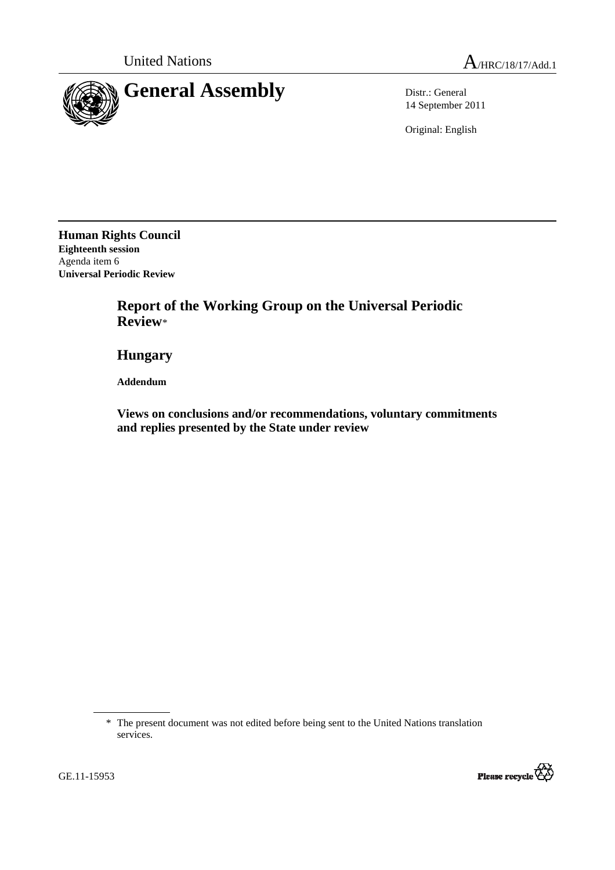

14 September 2011

Original: English

**Human Rights Council Eighteenth session**  Agenda item 6 **Universal Periodic Review** 

> **Report of the Working Group on the Universal Periodic Review**\*

 **Hungary** 

 **Addendum** 

 **Views on conclusions and/or recommendations, voluntary commitments and replies presented by the State under review** 

<sup>\*</sup> The present document was not edited before being sent to the United Nations translation services.



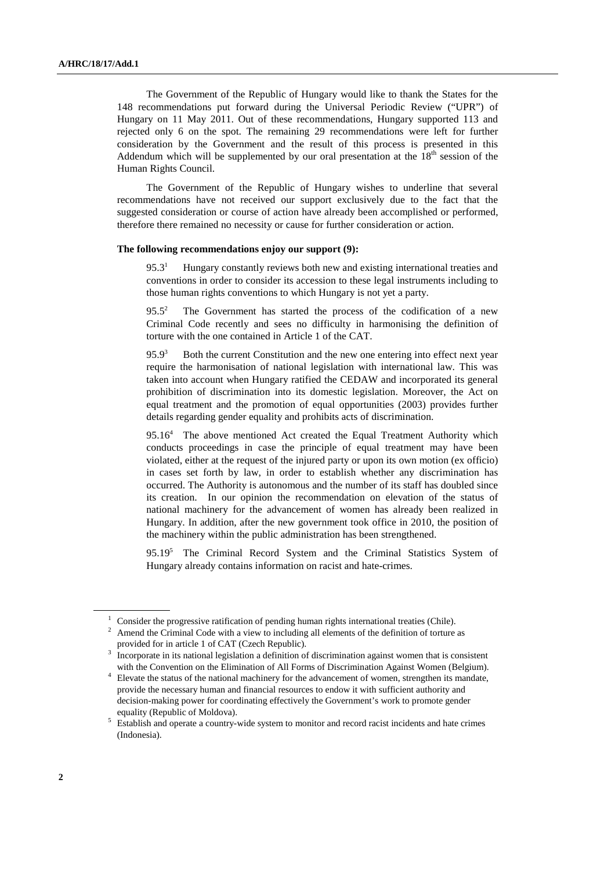The Government of the Republic of Hungary would like to thank the States for the 148 recommendations put forward during the Universal Periodic Review ("UPR") of Hungary on 11 May 2011. Out of these recommendations, Hungary supported 113 and rejected only 6 on the spot. The remaining 29 recommendations were left for further consideration by the Government and the result of this process is presented in this Addendum which will be supplemented by our oral presentation at the  $18<sup>th</sup>$  session of the Human Rights Council.

The Government of the Republic of Hungary wishes to underline that several recommendations have not received our support exclusively due to the fact that the suggested consideration or course of action have already been accomplished or performed, therefore there remained no necessity or cause for further consideration or action.

## **The following recommendations enjoy our support (9):**

 $95.3<sup>1</sup>$  Hungary constantly reviews both new and existing international treaties and conventions in order to consider its accession to these legal instruments including to those human rights conventions to which Hungary is not yet a party.

 $95.5^2$  The Government has started the process of the codification of a new Criminal Code recently and sees no difficulty in harmonising the definition of torture with the one contained in Article 1 of the CAT.

 $95.9<sup>3</sup>$  Both the current Constitution and the new one entering into effect next year require the harmonisation of national legislation with international law. This was taken into account when Hungary ratified the CEDAW and incorporated its general prohibition of discrimination into its domestic legislation. Moreover, the Act on equal treatment and the promotion of equal opportunities (2003) provides further details regarding gender equality and prohibits acts of discrimination.

95.16<sup>4</sup> The above mentioned Act created the Equal Treatment Authority which conducts proceedings in case the principle of equal treatment may have been violated, either at the request of the injured party or upon its own motion (ex officio) in cases set forth by law, in order to establish whether any discrimination has occurred. The Authority is autonomous and the number of its staff has doubled since its creation. In our opinion the recommendation on elevation of the status of national machinery for the advancement of women has already been realized in Hungary. In addition, after the new government took office in 2010, the position of the machinery within the public administration has been strengthened.

95.19<sup>5</sup> The Criminal Record System and the Criminal Statistics System of Hungary already contains information on racist and hate-crimes.

2 Amend the Criminal Code with a view to including all elements of the definition of torture as provided for in article 1 of CAT (Czech Republic).

 $1$  Consider the progressive ratification of pending human rights international treaties (Chile).

<sup>3</sup> Incorporate in its national legislation a definition of discrimination against women that is consistent with the Convention on the Elimination of All Forms of Discrimination Against Women (Belgium).

<sup>&</sup>lt;sup>4</sup> Elevate the status of the national machinery for the advancement of women, strengthen its mandate, provide the necessary human and financial resources to endow it with sufficient authority and decision-making power for coordinating effectively the Government's work to promote gender equality (Republic of Moldova).

<sup>&</sup>lt;sup>5</sup> Establish and operate a country-wide system to monitor and record racist incidents and hate crimes (Indonesia).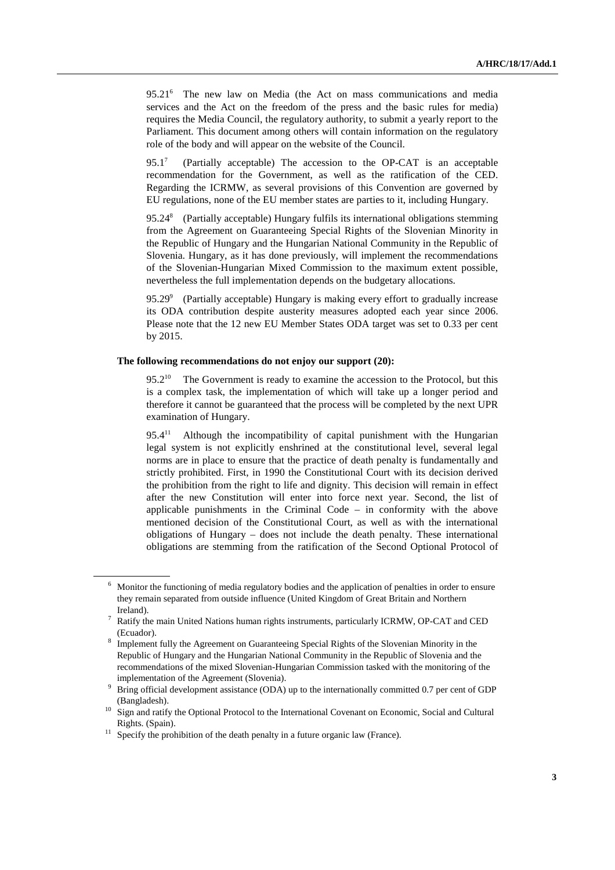95.21<sup>6</sup> The new law on Media (the Act on mass communications and media services and the Act on the freedom of the press and the basic rules for media) requires the Media Council, the regulatory authority, to submit a yearly report to the Parliament. This document among others will contain information on the regulatory role of the body and will appear on the website of the Council.

95.1<sup>7</sup> (Partially acceptable) The accession to the OP-CAT is an acceptable recommendation for the Government, as well as the ratification of the CED. Regarding the ICRMW, as several provisions of this Convention are governed by EU regulations, none of the EU member states are parties to it, including Hungary.

 $95.24^8$  (Partially acceptable) Hungary fulfils its international obligations stemming from the Agreement on Guaranteeing Special Rights of the Slovenian Minority in the Republic of Hungary and the Hungarian National Community in the Republic of Slovenia. Hungary, as it has done previously, will implement the recommendations of the Slovenian-Hungarian Mixed Commission to the maximum extent possible, nevertheless the full implementation depends on the budgetary allocations.

95.29 $^9$  (Partially acceptable) Hungary is making every effort to gradually increase its ODA contribution despite austerity measures adopted each year since 2006. Please note that the 12 new EU Member States ODA target was set to 0.33 per cent by 2015.

## **The following recommendations do not enjoy our support (20):**

 $95.2^{10}$  The Government is ready to examine the accession to the Protocol, but this is a complex task, the implementation of which will take up a longer period and therefore it cannot be guaranteed that the process will be completed by the next UPR examination of Hungary.

 $95.4<sup>11</sup>$  Although the incompatibility of capital punishment with the Hungarian legal system is not explicitly enshrined at the constitutional level, several legal norms are in place to ensure that the practice of death penalty is fundamentally and strictly prohibited. First, in 1990 the Constitutional Court with its decision derived the prohibition from the right to life and dignity. This decision will remain in effect after the new Constitution will enter into force next year. Second, the list of applicable punishments in the Criminal Code – in conformity with the above mentioned decision of the Constitutional Court, as well as with the international obligations of Hungary – does not include the death penalty. These international obligations are stemming from the ratification of the Second Optional Protocol of

<sup>&</sup>lt;sup>6</sup> Monitor the functioning of media regulatory bodies and the application of penalties in order to ensure they remain separated from outside influence (United Kingdom of Great Britain and Northern Ireland).

<sup>7</sup> Ratify the main United Nations human rights instruments, particularly ICRMW, OP-CAT and CED (Ecuador).

<sup>8</sup> Implement fully the Agreement on Guaranteeing Special Rights of the Slovenian Minority in the Republic of Hungary and the Hungarian National Community in the Republic of Slovenia and the recommendations of the mixed Slovenian-Hungarian Commission tasked with the monitoring of the implementation of the Agreement (Slovenia).

<sup>9</sup> Bring official development assistance (ODA) up to the internationally committed 0.7 per cent of GDP (Bangladesh).

<sup>&</sup>lt;sup>10</sup> Sign and ratify the Optional Protocol to the International Covenant on Economic, Social and Cultural Rights. (Spain).

 $11$  Specify the prohibition of the death penalty in a future organic law (France).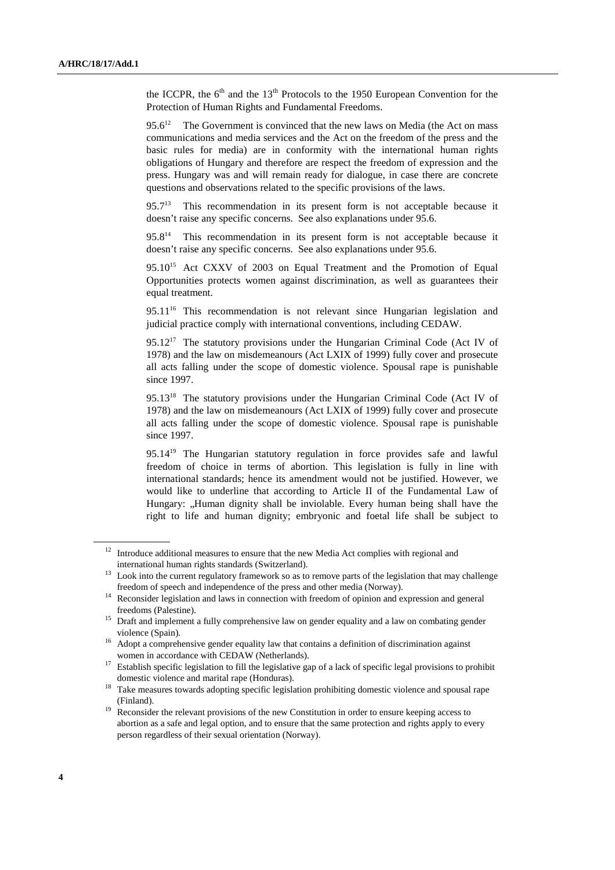the ICCPR, the  $6<sup>th</sup>$  and the  $13<sup>th</sup>$  Protocols to the 1950 European Convention for the Protection of Human Rights and Fundamental Freedoms.

 $95.6^{12}$  The Government is convinced that the new laws on Media (the Act on mass communications and media services and the Act on the freedom of the press and the basic rules for media) are in conformity with the international human rights obligations of Hungary and therefore are respect the freedom of expression and the press. Hungary was and will remain ready for dialogue, in case there are concrete questions and observations related to the specific provisions of the laws.

 $95.7<sup>13</sup>$  This recommendation in its present form is not acceptable because it doesn't raise any specific concerns. See also explanations under 95.6.

 $95.8<sup>14</sup>$  This recommendation in its present form is not acceptable because it doesn't raise any specific concerns. See also explanations under 95.6.

95.10<sup>15</sup> Act CXXV of 2003 on Equal Treatment and the Promotion of Equal Opportunities protects women against discrimination, as well as guarantees their equal treatment.

 $95.11^{16}$  This recommendation is not relevant since Hungarian legislation and judicial practice comply with international conventions, including CEDAW.

 $95.12^{17}$  The statutory provisions under the Hungarian Criminal Code (Act IV of 1978) and the law on misdemeanours (Act LXIX of 1999) fully cover and prosecute all acts falling under the scope of domestic violence. Spousal rape is punishable since 1997.

95.13<sup>18</sup> The statutory provisions under the Hungarian Criminal Code (Act IV of 1978) and the law on misdemeanours (Act LXIX of 1999) fully cover and prosecute all acts falling under the scope of domestic violence. Spousal rape is punishable since 1997.

95.14<sup>19</sup> The Hungarian statutory regulation in force provides safe and lawful freedom of choice in terms of abortion. This legislation is fully in line with international standards; hence its amendment would not be justified. However, we would like to underline that according to Article II of the Fundamental Law of Hungary: "Human dignity shall be inviolable. Every human being shall have the right to life and human dignity; embryonic and foetal life shall be subject to

 $12$  Introduce additional measures to ensure that the new Media Act complies with regional and international human rights standards (Switzerland).

Look into the current regulatory framework so as to remove parts of the legislation that may challenge freedom of speech and independence of the press and other media (Norway).

<sup>&</sup>lt;sup>14</sup> Reconsider legislation and laws in connection with freedom of opinion and expression and general freedoms (Palestine).

<sup>&</sup>lt;sup>15</sup> Draft and implement a fully comprehensive law on gender equality and a law on combating gender violence (Spain).

<sup>&</sup>lt;sup>16</sup> Adopt a comprehensive gender equality law that contains a definition of discrimination against women in accordance with CEDAW (Netherlands).

<sup>&</sup>lt;sup>17</sup> Establish specific legislation to fill the legislative gap of a lack of specific legal provisions to prohibit domestic violence and marital rape (Honduras).

<sup>&</sup>lt;sup>18</sup> Take measures towards adopting specific legislation prohibiting domestic violence and spousal rape (Finland).

<sup>&</sup>lt;sup>19</sup> Reconsider the relevant provisions of the new Constitution in order to ensure keeping access to abortion as a safe and legal option, and to ensure that the same protection and rights apply to every person regardless of their sexual orientation (Norway).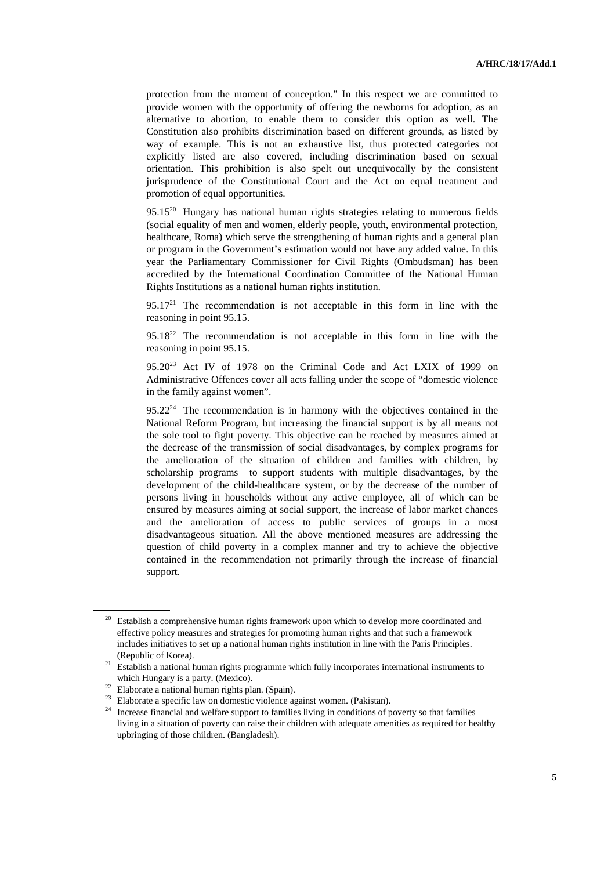protection from the moment of conception." In this respect we are committed to provide women with the opportunity of offering the newborns for adoption, as an alternative to abortion, to enable them to consider this option as well. The Constitution also prohibits discrimination based on different grounds, as listed by way of example. This is not an exhaustive list, thus protected categories not explicitly listed are also covered, including discrimination based on sexual orientation. This prohibition is also spelt out unequivocally by the consistent jurisprudence of the Constitutional Court and the Act on equal treatment and promotion of equal opportunities.

 $95.15^{20}$  Hungary has national human rights strategies relating to numerous fields (social equality of men and women, elderly people, youth, environmental protection, healthcare, Roma) which serve the strengthening of human rights and a general plan or program in the Government's estimation would not have any added value. In this year the Parliamentary Commissioner for Civil Rights (Ombudsman) has been accredited by the International Coordination Committee of the National Human Rights Institutions as a national human rights institution.

 $95.17<sup>21</sup>$  The recommendation is not acceptable in this form in line with the reasoning in point 95.15.

 $95.18^{22}$  The recommendation is not acceptable in this form in line with the reasoning in point 95.15.

95.20<sup>23</sup> Act IV of 1978 on the Criminal Code and Act LXIX of 1999 on Administrative Offences cover all acts falling under the scope of "domestic violence in the family against women".

 $95.22<sup>24</sup>$  The recommendation is in harmony with the objectives contained in the National Reform Program, but increasing the financial support is by all means not the sole tool to fight poverty. This objective can be reached by measures aimed at the decrease of the transmission of social disadvantages, by complex programs for the amelioration of the situation of children and families with children, by scholarship programs to support students with multiple disadvantages, by the development of the child-healthcare system, or by the decrease of the number of persons living in households without any active employee, all of which can be ensured by measures aiming at social support, the increase of labor market chances and the amelioration of access to public services of groups in a most disadvantageous situation. All the above mentioned measures are addressing the question of child poverty in a complex manner and try to achieve the objective contained in the recommendation not primarily through the increase of financial support.

 $20$  Establish a comprehensive human rights framework upon which to develop more coordinated and effective policy measures and strategies for promoting human rights and that such a framework includes initiatives to set up a national human rights institution in line with the Paris Principles. (Republic of Korea).

<sup>&</sup>lt;sup>21</sup> Establish a national human rights programme which fully incorporates international instruments to which Hungary is a party. (Mexico).

<sup>22</sup> Elaborate a national human rights plan. (Spain).

<sup>&</sup>lt;sup>23</sup> Elaborate a specific law on domestic violence against women. (Pakistan).

<sup>&</sup>lt;sup>24</sup> Increase financial and welfare support to families living in conditions of poverty so that families living in a situation of poverty can raise their children with adequate amenities as required for healthy upbringing of those children. (Bangladesh).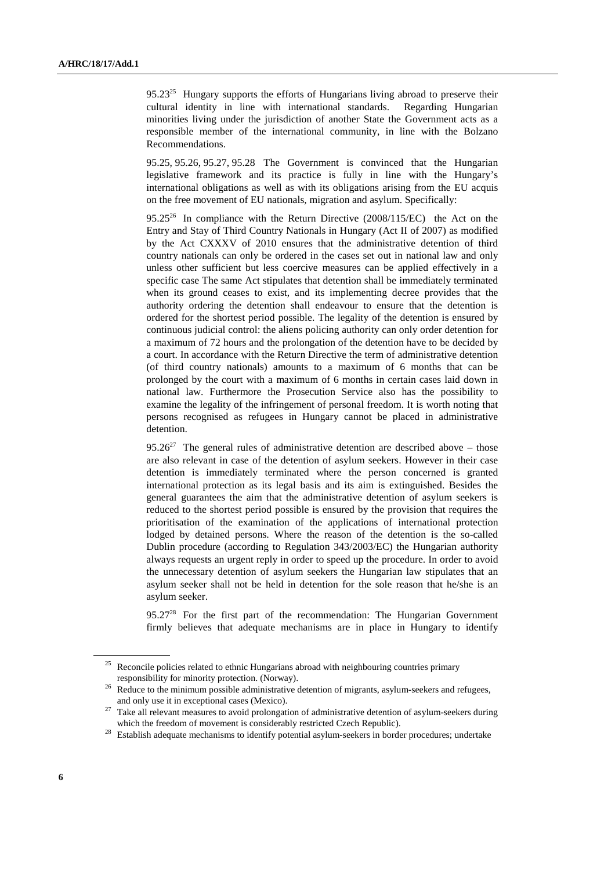$95.23^{25}$  Hungary supports the efforts of Hungarians living abroad to preserve their cultural identity in line with international standards. Regarding Hungarian minorities living under the jurisdiction of another State the Government acts as a responsible member of the international community, in line with the Bolzano Recommendations.

95.25, 95.26, 95.27, 95.28 The Government is convinced that the Hungarian legislative framework and its practice is fully in line with the Hungary's international obligations as well as with its obligations arising from the EU acquis on the free movement of EU nationals, migration and asylum. Specifically:

 $95.25^{26}$  In compliance with the Return Directive (2008/115/EC) the Act on the Entry and Stay of Third Country Nationals in Hungary (Act II of 2007) as modified by the Act CXXXV of 2010 ensures that the administrative detention of third country nationals can only be ordered in the cases set out in national law and only unless other sufficient but less coercive measures can be applied effectively in a specific case The same Act stipulates that detention shall be immediately terminated when its ground ceases to exist, and its implementing decree provides that the authority ordering the detention shall endeavour to ensure that the detention is ordered for the shortest period possible. The legality of the detention is ensured by continuous judicial control: the aliens policing authority can only order detention for a maximum of 72 hours and the prolongation of the detention have to be decided by a court. In accordance with the Return Directive the term of administrative detention (of third country nationals) amounts to a maximum of 6 months that can be prolonged by the court with a maximum of 6 months in certain cases laid down in national law. Furthermore the Prosecution Service also has the possibility to examine the legality of the infringement of personal freedom. It is worth noting that persons recognised as refugees in Hungary cannot be placed in administrative detention.

 $95.26^{27}$  The general rules of administrative detention are described above – those are also relevant in case of the detention of asylum seekers. However in their case detention is immediately terminated where the person concerned is granted international protection as its legal basis and its aim is extinguished. Besides the general guarantees the aim that the administrative detention of asylum seekers is reduced to the shortest period possible is ensured by the provision that requires the prioritisation of the examination of the applications of international protection lodged by detained persons. Where the reason of the detention is the so-called Dublin procedure (according to Regulation 343/2003/EC) the Hungarian authority always requests an urgent reply in order to speed up the procedure. In order to avoid the unnecessary detention of asylum seekers the Hungarian law stipulates that an asylum seeker shall not be held in detention for the sole reason that he/she is an asylum seeker.

 $95.27<sup>28</sup>$  For the first part of the recommendation: The Hungarian Government firmly believes that adequate mechanisms are in place in Hungary to identify

Reconcile policies related to ethnic Hungarians abroad with neighbouring countries primary responsibility for minority protection. (Norway).

<sup>&</sup>lt;sup>26</sup> Reduce to the minimum possible administrative detention of migrants, asylum-seekers and refugees, and only use it in exceptional cases (Mexico).

<sup>&</sup>lt;sup>27</sup> Take all relevant measures to avoid prolongation of administrative detention of asylum-seekers during which the freedom of movement is considerably restricted Czech Republic).

<sup>&</sup>lt;sup>28</sup> Establish adequate mechanisms to identify potential asylum-seekers in border procedures; undertake